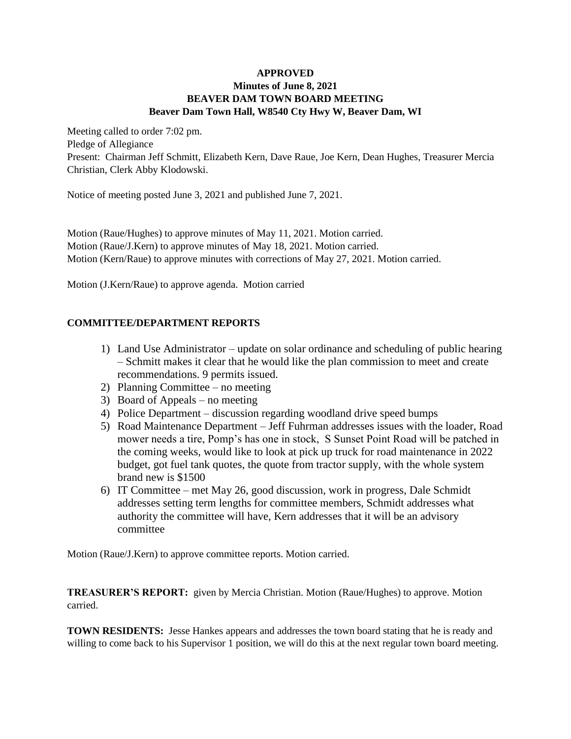## **APPROVED Minutes of June 8, 2021 BEAVER DAM TOWN BOARD MEETING Beaver Dam Town Hall, W8540 Cty Hwy W, Beaver Dam, WI**

Meeting called to order 7:02 pm. Pledge of Allegiance Present: Chairman Jeff Schmitt, Elizabeth Kern, Dave Raue, Joe Kern, Dean Hughes, Treasurer Mercia Christian, Clerk Abby Klodowski.

Notice of meeting posted June 3, 2021 and published June 7, 2021.

Motion (Raue/Hughes) to approve minutes of May 11, 2021. Motion carried. Motion (Raue/J.Kern) to approve minutes of May 18, 2021. Motion carried. Motion (Kern/Raue) to approve minutes with corrections of May 27, 2021. Motion carried.

Motion (J.Kern/Raue) to approve agenda. Motion carried

## **COMMITTEE/DEPARTMENT REPORTS**

- 1) Land Use Administrator update on solar ordinance and scheduling of public hearing – Schmitt makes it clear that he would like the plan commission to meet and create recommendations. 9 permits issued.
- 2) Planning Committee no meeting
- 3) Board of Appeals no meeting
- 4) Police Department discussion regarding woodland drive speed bumps
- 5) Road Maintenance Department Jeff Fuhrman addresses issues with the loader, Road mower needs a tire, Pomp's has one in stock, S Sunset Point Road will be patched in the coming weeks, would like to look at pick up truck for road maintenance in 2022 budget, got fuel tank quotes, the quote from tractor supply, with the whole system brand new is \$1500
- 6) IT Committee met May 26, good discussion, work in progress, Dale Schmidt addresses setting term lengths for committee members, Schmidt addresses what authority the committee will have, Kern addresses that it will be an advisory committee

Motion (Raue/J.Kern) to approve committee reports. Motion carried.

**TREASURER'S REPORT:** given by Mercia Christian. Motion (Raue/Hughes) to approve. Motion carried.

**TOWN RESIDENTS:** Jesse Hankes appears and addresses the town board stating that he is ready and willing to come back to his Supervisor 1 position, we will do this at the next regular town board meeting.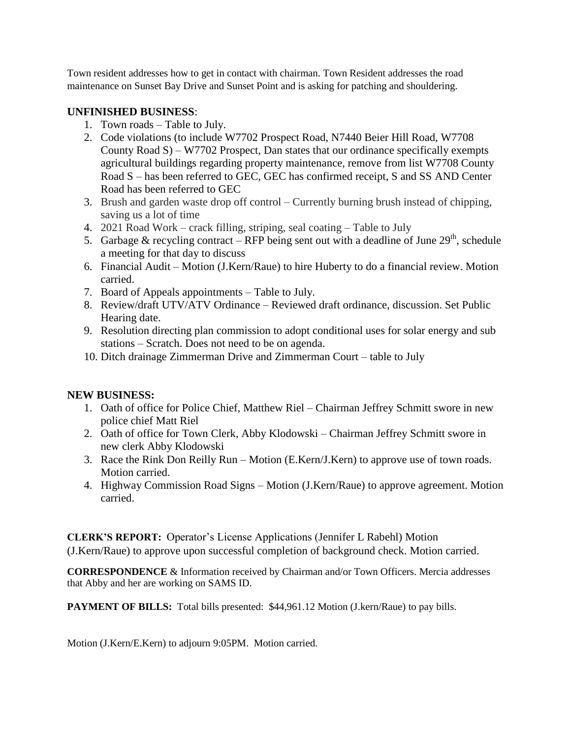Town resident addresses how to get in contact with chairman. Town Resident addresses the road maintenance on Sunset Bay Drive and Sunset Point and is asking for patching and shouldering.

## **UNFINISHED BUSINESS**:

- 1. Town roads Table to July.
- 2. Code violations (to include W7702 Prospect Road, N7440 Beier Hill Road, W7708 County Road S) – W7702 Prospect, Dan states that our ordinance specifically exempts agricultural buildings regarding property maintenance, remove from list W7708 County Road S – has been referred to GEC, GEC has confirmed receipt, S and SS AND Center Road has been referred to GEC
- 3. Brush and garden waste drop off control Currently burning brush instead of chipping, saving us a lot of time
- 4. 2021 Road Work crack filling, striping, seal coating Table to July
- 5. Garbage & recycling contract RFP being sent out with a deadline of June  $29<sup>th</sup>$ , schedule a meeting for that day to discuss
- 6. Financial Audit Motion (J.Kern/Raue) to hire Huberty to do a financial review. Motion carried.
- 7. Board of Appeals appointments Table to July.
- 8. Review/draft UTV/ATV Ordinance Reviewed draft ordinance, discussion. Set Public Hearing date.
- 9. Resolution directing plan commission to adopt conditional uses for solar energy and sub stations – Scratch. Does not need to be on agenda.
- 10. Ditch drainage Zimmerman Drive and Zimmerman Court table to July

## **NEW BUSINESS:**

- 1. Oath of office for Police Chief, Matthew Riel Chairman Jeffrey Schmitt swore in new police chief Matt Riel
- 2. Oath of office for Town Clerk, Abby Klodowski Chairman Jeffrey Schmitt swore in new clerk Abby Klodowski
- 3. Race the Rink Don Reilly Run Motion (E.Kern/J.Kern) to approve use of town roads. Motion carried.
- 4. Highway Commission Road Signs Motion (J.Kern/Raue) to approve agreement. Motion carried.

**CLERK'S REPORT:** Operator's License Applications (Jennifer L Rabehl) Motion (J.Kern/Raue) to approve upon successful completion of background check. Motion carried.

**CORRESPONDENCE** & Information received by Chairman and/or Town Officers. Mercia addresses that Abby and her are working on SAMS ID.

**PAYMENT OF BILLS:** Total bills presented: \$44,961.12 Motion (J.kern/Raue) to pay bills.

Motion (J.Kern/E.Kern) to adjourn 9:05PM. Motion carried.